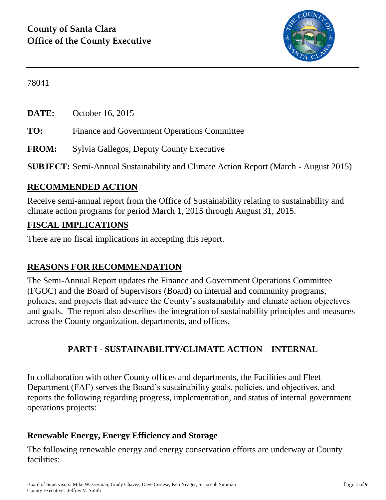

78041

**DATE:** October 16, 2015

**TO:** Finance and Government Operations Committee

**FROM:** Sylvia Gallegos, Deputy County Executive

**SUBJECT:** Semi-Annual Sustainability and Climate Action Report (March - August 2015)

## **RECOMMENDED ACTION**

Receive semi-annual report from the Office of Sustainability relating to sustainability and climate action programs for period March 1, 2015 through August 31, 2015.

### **FISCAL IMPLICATIONS**

There are no fiscal implications in accepting this report.

## **REASONS FOR RECOMMENDATION**

The Semi-Annual Report updates the Finance and Government Operations Committee (FGOC) and the Board of Supervisors (Board) on internal and community programs, policies, and projects that advance the County's sustainability and climate action objectives and goals. The report also describes the integration of sustainability principles and measures across the County organization, departments, and offices.

## **PART I - SUSTAINABILITY/CLIMATE ACTION – INTERNAL**

In collaboration with other County offices and departments, the Facilities and Fleet Department (FAF) serves the Board's sustainability goals, policies, and objectives, and reports the following regarding progress, implementation, and status of internal government operations projects:

## **Renewable Energy, Energy Efficiency and Storage**

The following renewable energy and energy conservation efforts are underway at County facilities: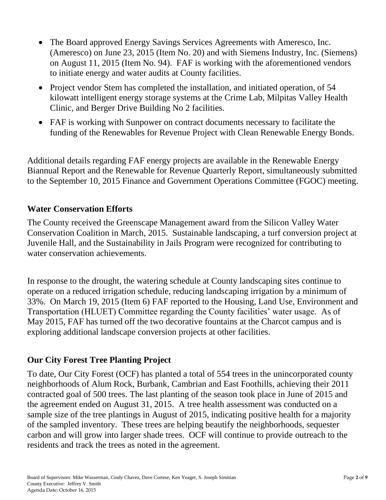- The Board approved Energy Savings Services Agreements with Ameresco, Inc. (Ameresco) on June 23, 2015 (Item No. 20) and with Siemens Industry, Inc. (Siemens) on August 11, 2015 (Item No. 94). FAF is working with the aforementioned vendors to initiate energy and water audits at County facilities.
- Project vendor Stem has completed the installation, and initiated operation, of 54 kilowatt intelligent energy storage systems at the Crime Lab, Milpitas Valley Health Clinic, and Berger Drive Building No 2 facilities.
- FAF is working with Sunpower on contract documents necessary to facilitate the funding of the Renewables for Revenue Project with Clean Renewable Energy Bonds.

Additional details regarding FAF energy projects are available in the Renewable Energy Biannual Report and the Renewable for Revenue Quarterly Report, simultaneously submitted to the September 10, 2015 Finance and Government Operations Committee (FGOC) meeting.

#### **Water Conservation Efforts**

The County received the Greenscape Management award from the Silicon Valley Water Conservation Coalition in March, 2015. Sustainable landscaping, a turf conversion project at Juvenile Hall, and the Sustainability in Jails Program were recognized for contributing to water conservation achievements.

In response to the drought, the watering schedule at County landscaping sites continue to operate on a reduced irrigation schedule, reducing landscaping irrigation by a minimum of 33%. On March 19, 2015 (Item 6) FAF reported to the Housing, Land Use, Environment and Transportation (HLUET) Committee regarding the County facilities' water usage. As of May 2015, FAF has turned off the two decorative fountains at the Charcot campus and is exploring additional landscape conversion projects at other facilities.

#### **Our City Forest Tree Planting Project**

To date, Our City Forest (OCF) has planted a total of 554 trees in the unincorporated county neighborhoods of Alum Rock, Burbank, Cambrian and East Foothills, achieving their 2011 contracted goal of 500 trees. The last planting of the season took place in June of 2015 and the agreement ended on August 31, 2015. A tree health assessment was conducted on a sample size of the tree plantings in August of 2015, indicating positive health for a majority of the sampled inventory. These trees are helping beautify the neighborhoods, sequester carbon and will grow into larger shade trees. OCF will continue to provide outreach to the residents and track the trees as noted in the agreement.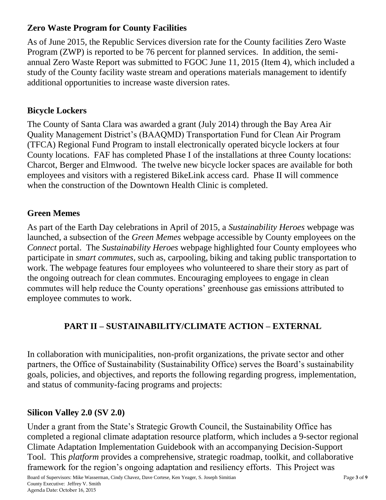# **Zero Waste Program for County Facilities**

As of June 2015, the Republic Services diversion rate for the County facilities Zero Waste Program (ZWP) is reported to be 76 percent for planned services. In addition, the semiannual Zero Waste Report was submitted to FGOC June 11, 2015 (Item 4), which included a study of the County facility waste stream and operations materials management to identify additional opportunities to increase waste diversion rates.

# **Bicycle Lockers**

The County of Santa Clara was awarded a grant (July 2014) through the Bay Area Air Quality Management District's (BAAQMD) Transportation Fund for Clean Air Program (TFCA) Regional Fund Program to install electronically operated bicycle lockers at four County locations. FAF has completed Phase I of the installations at three County locations: Charcot, Berger and Elmwood. The twelve new bicycle locker spaces are available for both employees and visitors with a registered BikeLink access card. Phase II will commence when the construction of the Downtown Health Clinic is completed.

## **Green Memes**

As part of the Earth Day celebrations in April of 2015, a *Sustainability Heroes* webpage was launched, a subsection of the *Green Memes* webpage accessible by County employees on the *Connect* portal. The *Sustainability Heroes* webpage highlighted four County employees who participate in *smart commutes,* such as, carpooling, biking and taking public transportation to work. The webpage features four employees who volunteered to share their story as part of the ongoing outreach for clean commutes. Encouraging employees to engage in clean commutes will help reduce the County operations' greenhouse gas emissions attributed to employee commutes to work.

# **PART II – SUSTAINABILITY/CLIMATE ACTION – EXTERNAL**

In collaboration with municipalities, non-profit organizations, the private sector and other partners, the Office of Sustainability (Sustainability Office) serves the Board's sustainability goals, policies, and objectives, and reports the following regarding progress, implementation, and status of community-facing programs and projects:

## **Silicon Valley 2.0 (SV 2.0)**

Under a grant from the State's Strategic Growth Council, the Sustainability Office has completed a regional climate adaptation resource platform, which includes a 9-sector regional Climate Adaptation Implementation Guidebook with an accompanying Decision-Support Tool. This *platform* provides a comprehensive, strategic roadmap, toolkit, and collaborative framework for the region's ongoing adaptation and resiliency efforts. This Project was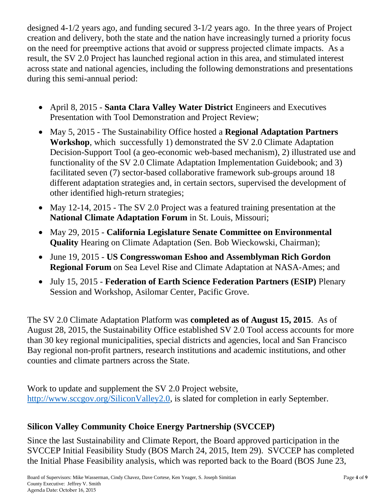designed 4-1/2 years ago, and funding secured 3-1/2 years ago. In the three years of Project creation and delivery, both the state and the nation have increasingly turned a priority focus on the need for preemptive actions that avoid or suppress projected climate impacts. As a result, the SV 2.0 Project has launched regional action in this area, and stimulated interest across state and national agencies, including the following demonstrations and presentations during this semi-annual period:

- April 8, 2015 **Santa Clara Valley Water District** Engineers and Executives Presentation with Tool Demonstration and Project Review;
- May 5, 2015 The Sustainability Office hosted a **Regional Adaptation Partners Workshop**, which successfully 1) demonstrated the SV 2.0 Climate Adaptation Decision-Support Tool (a geo-economic web-based mechanism), 2) illustrated use and functionality of the SV 2.0 Climate Adaptation Implementation Guidebook; and 3) facilitated seven (7) sector-based collaborative framework sub-groups around 18 different adaptation strategies and, in certain sectors, supervised the development of other identified high-return strategies;
- May 12-14, 2015 The SV 2.0 Project was a featured training presentation at the **National Climate Adaptation Forum** in St. Louis, Missouri;
- May 29, 2015 **California Legislature Senate Committee on Environmental Quality** Hearing on Climate Adaptation (Sen. Bob Wieckowski, Chairman);
- June 19, 2015 **US Congresswoman Eshoo and Assemblyman Rich Gordon Regional Forum** on Sea Level Rise and Climate Adaptation at NASA-Ames; and
- July 15, 2015 **Federation of Earth Science Federation Partners (ESIP)** Plenary Session and Workshop, Asilomar Center, Pacific Grove.

The SV 2.0 Climate Adaptation Platform was **completed as of August 15, 2015**. As of August 28, 2015, the Sustainability Office established SV 2.0 Tool access accounts for more than 30 key regional municipalities, special districts and agencies, local and San Francisco Bay regional non-profit partners, research institutions and academic institutions, and other counties and climate partners across the State.

Work to update and supplement the SV 2.0 Project website, [http://www.sccgov.org/SiliconValley2.0,](http://www.sccgov.org/SiliconValley2.0) is slated for completion in early September.

## **Silicon Valley Community Choice Energy Partnership (SVCCEP)**

Since the last Sustainability and Climate Report, the Board approved participation in the SVCCEP Initial Feasibility Study (BOS March 24, 2015, Item 29). SVCCEP has completed the Initial Phase Feasibility analysis, which was reported back to the Board (BOS June 23,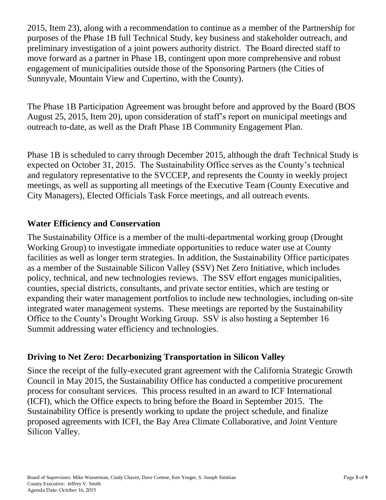2015, Item 23), along with a recommendation to continue as a member of the Partnership for purposes of the Phase 1B full Technical Study, key business and stakeholder outreach, and preliminary investigation of a joint powers authority district. The Board directed staff to move forward as a partner in Phase 1B, contingent upon more comprehensive and robust engagement of municipalities outside those of the Sponsoring Partners (the Cities of Sunnyvale, Mountain View and Cupertino, with the County).

The Phase 1B Participation Agreement was brought before and approved by the Board (BOS August 25, 2015, Item 20), upon consideration of staff's report on municipal meetings and outreach to-date, as well as the Draft Phase 1B Community Engagement Plan.

Phase 1B is scheduled to carry through December 2015, although the draft Technical Study is expected on October 31, 2015. The Sustainability Office serves as the County's technical and regulatory representative to the SVCCEP, and represents the County in weekly project meetings, as well as supporting all meetings of the Executive Team (County Executive and City Managers), Elected Officials Task Force meetings, and all outreach events.

#### **Water Efficiency and Conservation**

The Sustainability Office is a member of the multi-departmental working group (Drought Working Group) to investigate immediate opportunities to reduce water use at County facilities as well as longer term strategies. In addition, the Sustainability Office participates as a member of the Sustainable Silicon Valley (SSV) Net Zero Initiative, which includes policy, technical, and new technologies reviews. The SSV effort engages municipalities, counties, special districts, consultants, and private sector entities, which are testing or expanding their water management portfolios to include new technologies, including on-site integrated water management systems. These meetings are reported by the Sustainability Office to the County's Drought Working Group. SSV is also hosting a September 16 Summit addressing water efficiency and technologies.

#### **Driving to Net Zero: Decarbonizing Transportation in Silicon Valley**

Since the receipt of the fully-executed grant agreement with the California Strategic Growth Council in May 2015, the Sustainability Office has conducted a competitive procurement process for consultant services. This process resulted in an award to ICF International (ICFI), which the Office expects to bring before the Board in September 2015. The Sustainability Office is presently working to update the project schedule, and finalize proposed agreements with ICFI, the Bay Area Climate Collaborative, and Joint Venture Silicon Valley.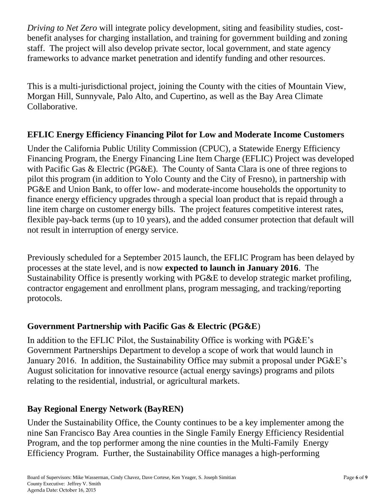*Driving to Net Zero* will integrate policy development, siting and feasibility studies, costbenefit analyses for charging installation, and training for government building and zoning staff. The project will also develop private sector, local government, and state agency frameworks to advance market penetration and identify funding and other resources.

This is a multi-jurisdictional project, joining the County with the cities of Mountain View, Morgan Hill, Sunnyvale, Palo Alto, and Cupertino, as well as the Bay Area Climate Collaborative.

### **EFLIC Energy Efficiency Financing Pilot for Low and Moderate Income Customers**

Under the California Public Utility Commission (CPUC), a Statewide Energy Efficiency Financing Program, the Energy Financing Line Item Charge (EFLIC) Project was developed with Pacific Gas & Electric (PG&E). The County of Santa Clara is one of three regions to pilot this program (in addition to Yolo County and the City of Fresno), in partnership with PG&E and Union Bank, to offer low- and moderate-income households the opportunity to finance energy efficiency upgrades through a special loan product that is repaid through a line item charge on customer energy bills. The project features competitive interest rates, flexible pay-back terms (up to 10 years), and the added consumer protection that default will not result in interruption of energy service.

Previously scheduled for a September 2015 launch, the EFLIC Program has been delayed by processes at the state level, and is now **expected to launch in January 2016**. The Sustainability Office is presently working with PG&E to develop strategic market profiling, contractor engagement and enrollment plans, program messaging, and tracking/reporting protocols.

## **Government Partnership with Pacific Gas & Electric (PG&E**)

In addition to the EFLIC Pilot, the Sustainability Office is working with PG&E's Government Partnerships Department to develop a scope of work that would launch in January 2016. In addition, the Sustainability Office may submit a proposal under PG&E's August solicitation for innovative resource (actual energy savings) programs and pilots relating to the residential, industrial, or agricultural markets.

## **Bay Regional Energy Network (BayREN)**

Under the Sustainability Office, the County continues to be a key implementer among the nine San Francisco Bay Area counties in the Single Family Energy Efficiency Residential Program, and the top performer among the nine counties in the Multi-Family Energy Efficiency Program. Further, the Sustainability Office manages a high-performing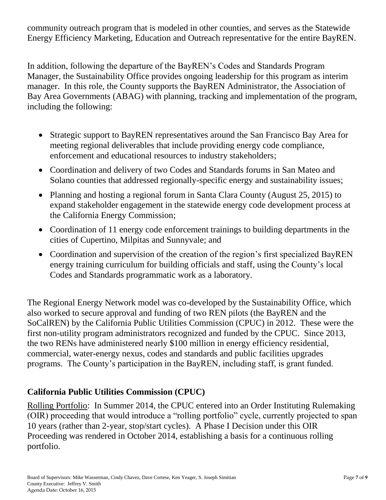community outreach program that is modeled in other counties, and serves as the Statewide Energy Efficiency Marketing, Education and Outreach representative for the entire BayREN.

In addition, following the departure of the BayREN's Codes and Standards Program Manager, the Sustainability Office provides ongoing leadership for this program as interim manager. In this role, the County supports the BayREN Administrator, the Association of Bay Area Governments (ABAG) with planning, tracking and implementation of the program, including the following:

- Strategic support to BayREN representatives around the San Francisco Bay Area for meeting regional deliverables that include providing energy code compliance, enforcement and educational resources to industry stakeholders;
- Coordination and delivery of two Codes and Standards forums in San Mateo and Solano counties that addressed regionally-specific energy and sustainability issues;
- Planning and hosting a regional forum in Santa Clara County (August 25, 2015) to expand stakeholder engagement in the statewide energy code development process at the California Energy Commission;
- Coordination of 11 energy code enforcement trainings to building departments in the cities of Cupertino, Milpitas and Sunnyvale; and
- Coordination and supervision of the creation of the region's first specialized BayREN energy training curriculum for building officials and staff, using the County's local Codes and Standards programmatic work as a laboratory.

The Regional Energy Network model was co-developed by the Sustainability Office, which also worked to secure approval and funding of two REN pilots (the BayREN and the SoCalREN) by the California Public Utilities Commission (CPUC) in 2012. These were the first non-utility program administrators recognized and funded by the CPUC. Since 2013, the two RENs have administered nearly \$100 million in energy efficiency residential, commercial, water-energy nexus, codes and standards and public facilities upgrades programs. The County's participation in the BayREN, including staff, is grant funded.

## **California Public Utilities Commission (CPUC)**

Rolling Portfolio: In Summer 2014, the CPUC entered into an Order Instituting Rulemaking (OIR) proceeding that would introduce a "rolling portfolio" cycle, currently projected to span 10 years (rather than 2-year, stop/start cycles). A Phase I Decision under this OIR Proceeding was rendered in October 2014, establishing a basis for a continuous rolling portfolio.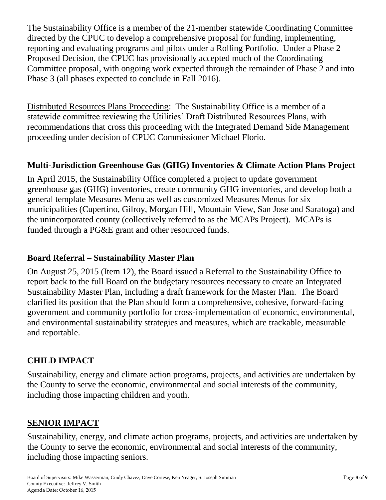The Sustainability Office is a member of the 21-member statewide Coordinating Committee directed by the CPUC to develop a comprehensive proposal for funding, implementing, reporting and evaluating programs and pilots under a Rolling Portfolio. Under a Phase 2 Proposed Decision, the CPUC has provisionally accepted much of the Coordinating Committee proposal, with ongoing work expected through the remainder of Phase 2 and into Phase 3 (all phases expected to conclude in Fall 2016).

Distributed Resources Plans Proceeding: The Sustainability Office is a member of a statewide committee reviewing the Utilities' Draft Distributed Resources Plans, with recommendations that cross this proceeding with the Integrated Demand Side Management proceeding under decision of CPUC Commissioner Michael Florio.

### **Multi-Jurisdiction Greenhouse Gas (GHG) Inventories & Climate Action Plans Project**

In April 2015, the Sustainability Office completed a project to update government greenhouse gas (GHG) inventories, create community GHG inventories, and develop both a general template Measures Menu as well as customized Measures Menus for six municipalities (Cupertino, Gilroy, Morgan Hill, Mountain View, San Jose and Saratoga) and the unincorporated county (collectively referred to as the MCAPs Project). MCAPs is funded through a PG&E grant and other resourced funds.

#### **Board Referral – Sustainability Master Plan**

On August 25, 2015 (Item 12), the Board issued a Referral to the Sustainability Office to report back to the full Board on the budgetary resources necessary to create an Integrated Sustainability Master Plan, including a draft framework for the Master Plan. The Board clarified its position that the Plan should form a comprehensive, cohesive, forward-facing government and community portfolio for cross-implementation of economic, environmental, and environmental sustainability strategies and measures, which are trackable, measurable and reportable.

## **CHILD IMPACT**

Sustainability, energy and climate action programs, projects, and activities are undertaken by the County to serve the economic, environmental and social interests of the community, including those impacting children and youth.

## **SENIOR IMPACT**

Sustainability, energy, and climate action programs, projects, and activities are undertaken by the County to serve the economic, environmental and social interests of the community, including those impacting seniors.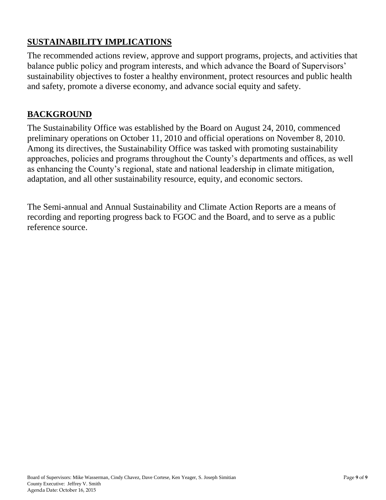# **SUSTAINABILITY IMPLICATIONS**

The recommended actions review, approve and support programs, projects, and activities that balance public policy and program interests, and which advance the Board of Supervisors' sustainability objectives to foster a healthy environment, protect resources and public health and safety, promote a diverse economy, and advance social equity and safety.

#### **BACKGROUND**

The Sustainability Office was established by the Board on August 24, 2010, commenced preliminary operations on October 11, 2010 and official operations on November 8, 2010. Among its directives, the Sustainability Office was tasked with promoting sustainability approaches, policies and programs throughout the County's departments and offices, as well as enhancing the County's regional, state and national leadership in climate mitigation, adaptation, and all other sustainability resource, equity, and economic sectors.

The Semi-annual and Annual Sustainability and Climate Action Reports are a means of recording and reporting progress back to FGOC and the Board, and to serve as a public reference source.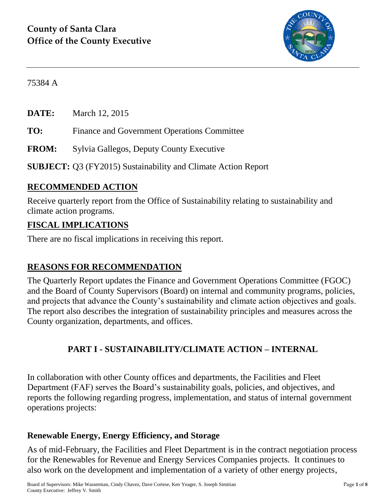

75384 A

**DATE:** March 12, 2015

**TO:** Finance and Government Operations Committee

**FROM:** Sylvia Gallegos, Deputy County Executive

**SUBJECT:** Q3 (FY2015) Sustainability and Climate Action Report

## **RECOMMENDED ACTION**

Receive quarterly report from the Office of Sustainability relating to sustainability and climate action programs.

### **FISCAL IMPLICATIONS**

There are no fiscal implications in receiving this report.

## **REASONS FOR RECOMMENDATION**

The Quarterly Report updates the Finance and Government Operations Committee (FGOC) and the Board of County Supervisors (Board) on internal and community programs, policies, and projects that advance the County's sustainability and climate action objectives and goals. The report also describes the integration of sustainability principles and measures across the County organization, departments, and offices.

# **PART I - SUSTAINABILITY/CLIMATE ACTION – INTERNAL**

In collaboration with other County offices and departments, the Facilities and Fleet Department (FAF) serves the Board's sustainability goals, policies, and objectives, and reports the following regarding progress, implementation, and status of internal government operations projects:

#### **Renewable Energy, Energy Efficiency, and Storage**

As of mid-February, the Facilities and Fleet Department is in the contract negotiation process for the Renewables for Revenue and Energy Services Companies projects. It continues to also work on the development and implementation of a variety of other energy projects,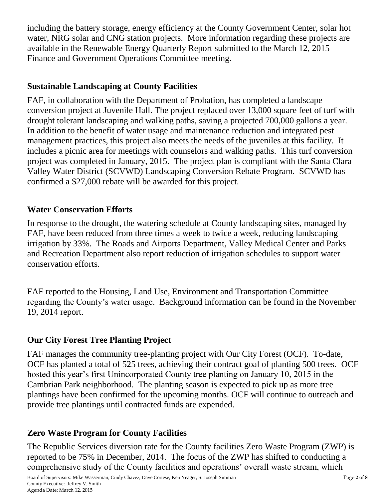including the battery storage, energy efficiency at the County Government Center, solar hot water, NRG solar and CNG station projects. More information regarding these projects are available in the Renewable Energy Quarterly Report submitted to the March 12, 2015 Finance and Government Operations Committee meeting.

### **Sustainable Landscaping at County Facilities**

FAF, in collaboration with the Department of Probation, has completed a landscape conversion project at Juvenile Hall. The project replaced over 13,000 square feet of turf with drought tolerant landscaping and walking paths, saving a projected 700,000 gallons a year. In addition to the benefit of water usage and maintenance reduction and integrated pest management practices, this project also meets the needs of the juveniles at this facility. It includes a picnic area for meetings with counselors and walking paths. This turf conversion project was completed in January, 2015. The project plan is compliant with the Santa Clara Valley Water District (SCVWD) Landscaping Conversion Rebate Program. SCVWD has confirmed a \$27,000 rebate will be awarded for this project.

### **Water Conservation Efforts**

In response to the drought, the watering schedule at County landscaping sites, managed by FAF, have been reduced from three times a week to twice a week, reducing landscaping irrigation by 33%. The Roads and Airports Department, Valley Medical Center and Parks and Recreation Department also report reduction of irrigation schedules to support water conservation efforts.

FAF reported to the Housing, Land Use, Environment and Transportation Committee regarding the County's water usage. Background information can be found in the November 19, 2014 report.

## **Our City Forest Tree Planting Project**

FAF manages the community tree-planting project with Our City Forest (OCF). To-date, OCF has planted a total of 525 trees, achieving their contract goal of planting 500 trees. OCF hosted this year's first Unincorporated County tree planting on January 10, 2015 in the Cambrian Park neighborhood. The planting season is expected to pick up as more tree plantings have been confirmed for the upcoming months. OCF will continue to outreach and provide tree plantings until contracted funds are expended.

## **Zero Waste Program for County Facilities**

The Republic Services diversion rate for the County facilities Zero Waste Program (ZWP) is reported to be 75% in December, 2014. The focus of the ZWP has shifted to conducting a comprehensive study of the County facilities and operations' overall waste stream, which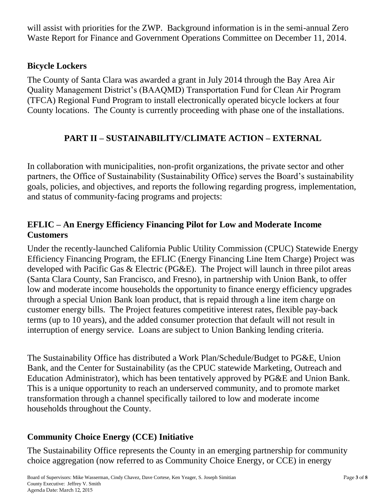will assist with priorities for the ZWP. Background information is in the semi-annual Zero Waste Report for Finance and Government Operations Committee on December 11, 2014.

#### **Bicycle Lockers**

The County of Santa Clara was awarded a grant in July 2014 through the Bay Area Air Quality Management District's (BAAQMD) Transportation Fund for Clean Air Program (TFCA) Regional Fund Program to install electronically operated bicycle lockers at four County locations. The County is currently proceeding with phase one of the installations.

# **PART II – SUSTAINABILITY/CLIMATE ACTION – EXTERNAL**

In collaboration with municipalities, non-profit organizations, the private sector and other partners, the Office of Sustainability (Sustainability Office) serves the Board's sustainability goals, policies, and objectives, and reports the following regarding progress, implementation, and status of community-facing programs and projects:

### **EFLIC – An Energy Efficiency Financing Pilot for Low and Moderate Income Customers**

Under the recently-launched California Public Utility Commission (CPUC) Statewide Energy Efficiency Financing Program, the EFLIC (Energy Financing Line Item Charge) Project was developed with Pacific Gas & Electric (PG&E). The Project will launch in three pilot areas (Santa Clara County, San Francisco, and Fresno), in partnership with Union Bank, to offer low and moderate income households the opportunity to finance energy efficiency upgrades through a special Union Bank loan product, that is repaid through a line item charge on customer energy bills. The Project features competitive interest rates, flexible pay-back terms (up to 10 years), and the added consumer protection that default will not result in interruption of energy service. Loans are subject to Union Banking lending criteria.

The Sustainability Office has distributed a Work Plan/Schedule/Budget to PG&E, Union Bank, and the Center for Sustainability (as the CPUC statewide Marketing, Outreach and Education Administrator), which has been tentatively approved by PG&E and Union Bank. This is a unique opportunity to reach an underserved community, and to promote market transformation through a channel specifically tailored to low and moderate income households throughout the County.

# **Community Choice Energy (CCE) Initiative**

The Sustainability Office represents the County in an emerging partnership for community choice aggregation (now referred to as Community Choice Energy, or CCE) in energy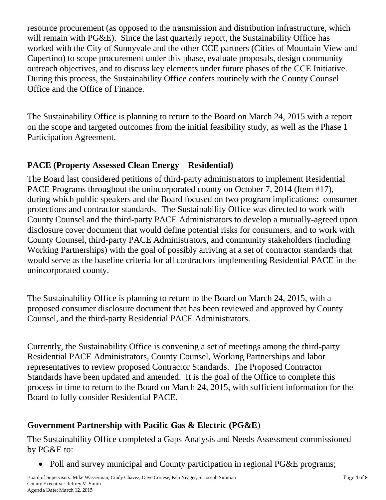resource procurement (as opposed to the transmission and distribution infrastructure, which will remain with PG&E). Since the last quarterly report, the Sustainability Office has worked with the City of Sunnyvale and the other CCE partners (Cities of Mountain View and Cupertino) to scope procurement under this phase, evaluate proposals, design community outreach objectives, and to discuss key elements under future phases of the CCE Initiative. During this process, the Sustainability Office confers routinely with the County Counsel Office and the Office of Finance.

The Sustainability Office is planning to return to the Board on March 24, 2015 with a report on the scope and targeted outcomes from the initial feasibility study, as well as the Phase 1 Participation Agreement.

### **PACE (Property Assessed Clean Energy – Residential)**

The Board last considered petitions of third-party administrators to implement Residential PACE Programs throughout the unincorporated county on October 7, 2014 (Item #17), during which public speakers and the Board focused on two program implications: consumer protections and contractor standards. The Sustainability Office was directed to work with County Counsel and the third-party PACE Administrators to develop a mutually-agreed upon disclosure cover document that would define potential risks for consumers, and to work with County Counsel, third-party PACE Administrators, and community stakeholders (including Working Partnerships) with the goal of possibly arriving at a set of contractor standards that would serve as the baseline criteria for all contractors implementing Residential PACE in the unincorporated county.

The Sustainability Office is planning to return to the Board on March 24, 2015, with a proposed consumer disclosure document that has been reviewed and approved by County Counsel, and the third-party Residential PACE Administrators.

Currently, the Sustainability Office is convening a set of meetings among the third-party Residential PACE Administrators, County Counsel, Working Partnerships and labor representatives to review proposed Contractor Standards. The Proposed Contractor Standards have been updated and amended. It is the goal of the Office to complete this process in time to return to the Board on March 24, 2015, with sufficient information for the Board to fully consider Residential PACE.

# **Government Partnership with Pacific Gas & Electric (PG&E**)

The Sustainability Office completed a Gaps Analysis and Needs Assessment commissioned by PG&E to:

• Poll and survey municipal and County participation in regional PG&E programs;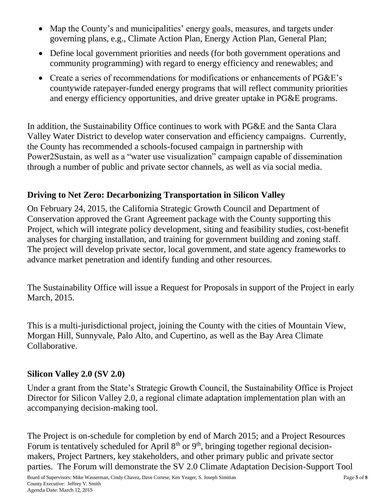- Map the County's and municipalities' energy goals, measures, and targets under governing plans, e.g., Climate Action Plan, Energy Action Plan, General Plan;
- Define local government priorities and needs (for both government operations and community programming) with regard to energy efficiency and renewables; and
- Create a series of recommendations for modifications or enhancements of PG&E's countywide ratepayer-funded energy programs that will reflect community priorities and energy efficiency opportunities, and drive greater uptake in PG&E programs.

In addition, the Sustainability Office continues to work with PG&E and the Santa Clara Valley Water District to develop water conservation and efficiency campaigns. Currently, the County has recommended a schools-focused campaign in partnership with Power2Sustain, as well as a "water use visualization" campaign capable of dissemination through a number of public and private sector channels, as well as via social media.

## **Driving to Net Zero: Decarbonizing Transportation in Silicon Valley**

On February 24, 2015, the California Strategic Growth Council and Department of Conservation approved the Grant Agreement package with the County supporting this Project, which will integrate policy development, siting and feasibility studies, cost-benefit analyses for charging installation, and training for government building and zoning staff. The project will develop private sector, local government, and state agency frameworks to advance market penetration and identify funding and other resources.

The Sustainability Office will issue a Request for Proposals in support of the Project in early March, 2015.

This is a multi-jurisdictional project, joining the County with the cities of Mountain View, Morgan Hill, Sunnyvale, Palo Alto, and Cupertino, as well as the Bay Area Climate Collaborative.

#### **Silicon Valley 2.0 (SV 2.0)**

Under a grant from the State's Strategic Growth Council, the Sustainability Office is Project Director for Silicon Valley 2.0, a regional climate adaptation implementation plan with an accompanying decision-making tool.

The Project is on-schedule for completion by end of March 2015; and a Project Resources Forum is tentatively scheduled for April  $8<sup>th</sup>$  or  $9<sup>th</sup>$ , bringing together regional decisionmakers, Project Partners, key stakeholders, and other primary public and private sector parties. The Forum will demonstrate the SV 2.0 Climate Adaptation Decision-Support Tool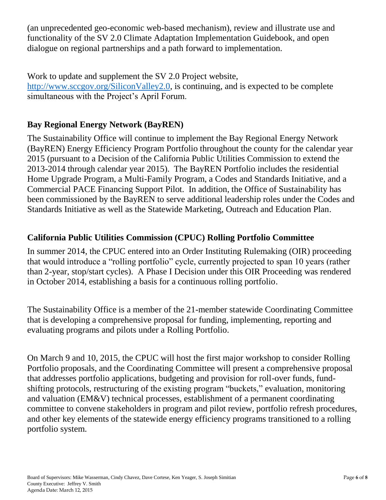(an unprecedented geo-economic web-based mechanism), review and illustrate use and functionality of the SV 2.0 Climate Adaptation Implementation Guidebook, and open dialogue on regional partnerships and a path forward to implementation.

Work to update and supplement the SV 2.0 Project website, [http://www.sccgov.org/SiliconValley2.0,](http://www.sccgov.org/SiliconValley2.0) is continuing, and is expected to be complete simultaneous with the Project's April Forum.

# **Bay Regional Energy Network (BayREN)**

The Sustainability Office will continue to implement the Bay Regional Energy Network (BayREN) Energy Efficiency Program Portfolio throughout the county for the calendar year 2015 (pursuant to a Decision of the California Public Utilities Commission to extend the 2013-2014 through calendar year 2015). The BayREN Portfolio includes the residential Home Upgrade Program, a Multi-Family Program, a Codes and Standards Initiative, and a Commercial PACE Financing Support Pilot. In addition, the Office of Sustainability has been commissioned by the BayREN to serve additional leadership roles under the Codes and Standards Initiative as well as the Statewide Marketing, Outreach and Education Plan.

### **California Public Utilities Commission (CPUC) Rolling Portfolio Committee**

In summer 2014, the CPUC entered into an Order Instituting Rulemaking (OIR) proceeding that would introduce a "rolling portfolio" cycle, currently projected to span 10 years (rather than 2-year, stop/start cycles). A Phase I Decision under this OIR Proceeding was rendered in October 2014, establishing a basis for a continuous rolling portfolio.

The Sustainability Office is a member of the 21-member statewide Coordinating Committee that is developing a comprehensive proposal for funding, implementing, reporting and evaluating programs and pilots under a Rolling Portfolio.

On March 9 and 10, 2015, the CPUC will host the first major workshop to consider Rolling Portfolio proposals, and the Coordinating Committee will present a comprehensive proposal that addresses portfolio applications, budgeting and provision for roll-over funds, fundshifting protocols, restructuring of the existing program "buckets," evaluation, monitoring and valuation (EM&V) technical processes, establishment of a permanent coordinating committee to convene stakeholders in program and pilot review, portfolio refresh procedures, and other key elements of the statewide energy efficiency programs transitioned to a rolling portfolio system.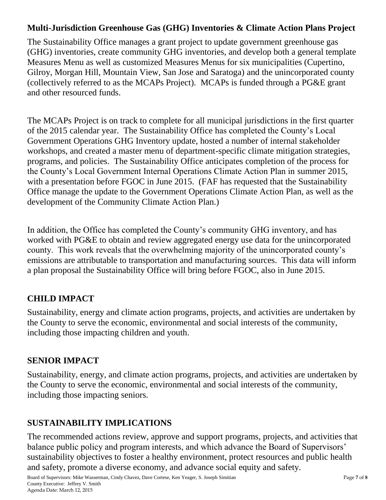### **Multi-Jurisdiction Greenhouse Gas (GHG) Inventories & Climate Action Plans Project**

The Sustainability Office manages a grant project to update government greenhouse gas (GHG) inventories, create community GHG inventories, and develop both a general template Measures Menu as well as customized Measures Menus for six municipalities (Cupertino, Gilroy, Morgan Hill, Mountain View, San Jose and Saratoga) and the unincorporated county (collectively referred to as the MCAPs Project). MCAPs is funded through a PG&E grant and other resourced funds.

The MCAPs Project is on track to complete for all municipal jurisdictions in the first quarter of the 2015 calendar year. The Sustainability Office has completed the County's Local Government Operations GHG Inventory update, hosted a number of internal stakeholder workshops, and created a master menu of department-specific climate mitigation strategies, programs, and policies. The Sustainability Office anticipates completion of the process for the County's Local Government Internal Operations Climate Action Plan in summer 2015, with a presentation before FGOC in June 2015. (FAF has requested that the Sustainability Office manage the update to the Government Operations Climate Action Plan, as well as the development of the Community Climate Action Plan.)

In addition, the Office has completed the County's community GHG inventory, and has worked with PG&E to obtain and review aggregated energy use data for the unincorporated county. This work reveals that the overwhelming majority of the unincorporated county's emissions are attributable to transportation and manufacturing sources. This data will inform a plan proposal the Sustainability Office will bring before FGOC, also in June 2015.

## **CHILD IMPACT**

Sustainability, energy and climate action programs, projects, and activities are undertaken by the County to serve the economic, environmental and social interests of the community, including those impacting children and youth.

## **SENIOR IMPACT**

Sustainability, energy, and climate action programs, projects, and activities are undertaken by the County to serve the economic, environmental and social interests of the community, including those impacting seniors.

# **SUSTAINABILITY IMPLICATIONS**

The recommended actions review, approve and support programs, projects, and activities that balance public policy and program interests, and which advance the Board of Supervisors' sustainability objectives to foster a healthy environment, protect resources and public health and safety, promote a diverse economy, and advance social equity and safety.